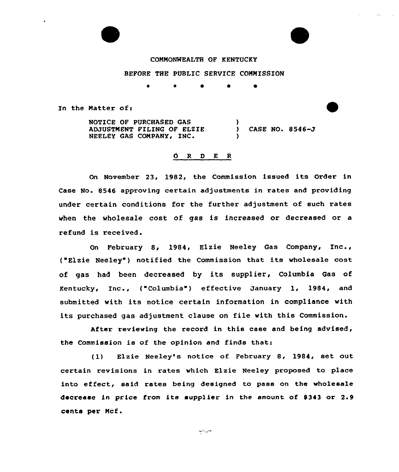## COMMONWEALTH OF KENTUCKY

## BEFORE THE PUBLIC SERVICE COMMISSION

\* 4 0 0

In the Matter of:

NOTICE OF PURCHASED GAS ADJUSTMENT FILING OF ELEIE NEELEY GAS COMPANY, INC. ) CASE NO. 8546-J )

## d R D E R

On November 23, 1982, the Commission issued its Order in Case No. 8546 approving certain adjustments in rates and providing under certain conditions for the further adjustment of such rates when the wholesale cost of gas is increased or decreased or a refund is received.

On February 8, 1984, Elzie Neeley Gas Company, Inc., ( Elzie Neeley ) notified the Commission that its wholesale cost of gas had been decreased by its supplier, Columbia Gas of Kentucky, Inc., <sup>f</sup> "Columbia" ) effective January 1, 1984, and submitted with its notice certain information in compliance with its purchased gas adjustment clause on file with this Commission.

After reviewing the record in this case and being advised, the Commission is of the opinion and finds that:

(1) Elzie Neeley's notice of February 8, 1984, set out certain revisions in rates which Elzie Neeley proposed to place into effect, said rates being designed to pass on the wholesale decrease in price from its supplier in the amount of \$343 or 2.9 cents per Mcf.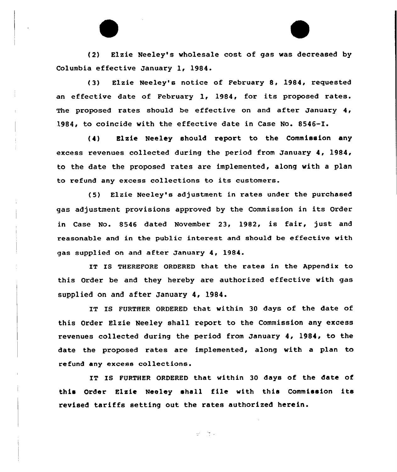(2) Elzie Neeley's wholesale cost of gas was decreased by Columbia effective January 1, 1984.

(3) Elzie Neeley's notice of February 8, 1984, requested an effective date of February 1, 1984, for its proposed rates. The proposed rates should be effective on and after January 4, 1984, to coincide with the effective date in Case No. 8546-I.

(4) Elzie Neeley should report to the Commission any excess revenues collected during the period from January 4, 1984, to the date the proposed rates are implemented, along with a plan to refund any excess collections to its customers.

(5) Elzie Neeley's adjustment in rates under the purchased gas adjustment provisions approved by the Commission in its Order in Case No. 8546 dated November 23, 1982, is fair, just and reasonable and in the public interest and should be effective with gas supplied on and after January 4, 1984.

IT IS THEREFORE ORDERED that the rates in the Appendix to this Order be and they hereby are authorized effective with gas supplied on and after January 4, 1984.

IT IS FURTHER ORDERED that within 30 days of the date of this Order Elzie Neeley shall report to the Commission any excess revenues collected during the period from January 4, 1984, to the date the proposed rates are implemented, along with a plan to refund any excess collections.

IT IS FURTHER ORDERED that within 30 days of the date of this Order Elzie Neeley shall file with this Commission its revised tariffs setting out the rates authorized herein.

出し ほっ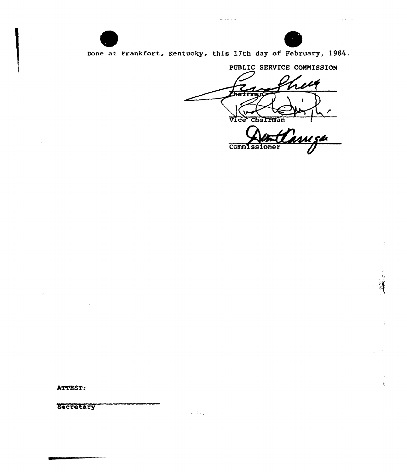

 $\bar{z}$ 

 $\alpha$ 

 $\sim$  10  $\sim$  10  $\sim$  10  $\sim$ 

÷

 $\gamma = \frac{1}{2}$ 

Done at Frankfort, Kentucky, this 17th day of February, 1984.

للأرب السراوا المد

PUBLIC SERVICE COMMISSION Chairman Vice <u>imiza</u>

Commissioner

ATTEST:

 $\mathcal{Q}(\mathcal{A})$  , and  $\mathcal{A}(\mathcal{A})$  , and  $\mathcal{A}(\mathcal{A})$  , and

 $\mathcal{L}_{\mathcal{A}}$ 

Secretary

----

 $\mathcal{R}=\mathbb{Z}_{\frac{N}{2},\infty}$  .